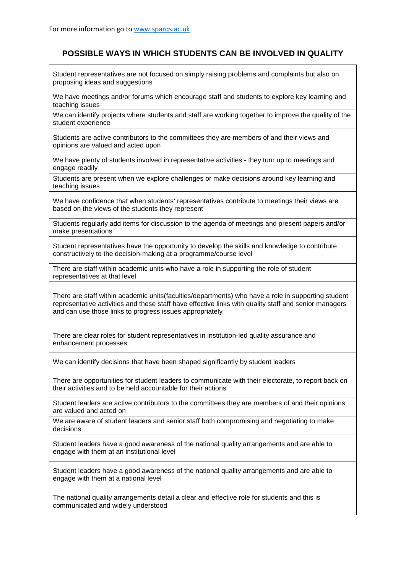## **POSSIBLE WAYS IN WHICH STUDENTS CAN BE INVOLVED IN QUALITY**

Student representatives are not focused on simply raising problems and complaints but also on proposing ideas and suggestions

We have meetings and/or forums which encourage staff and students to explore key learning and teaching issues

We can identify projects where students and staff are working together to improve the quality of the student experience

Students are active contributors to the committees they are members of and their views and opinions are valued and acted upon

We have plenty of students involved in representative activities - they turn up to meetings and engage readily

Students are present when we explore challenges or make decisions around key learning and teaching issues

We have confidence that when students' representatives contribute to meetings their views are based on the views of the students they represent

Students regularly add items for discussion to the agenda of meetings and present papers and/or make presentations

Student representatives have the opportunity to develop the skills and knowledge to contribute constructively to the decision-making at a programme/course level

There are staff within academic units who have a role in supporting the role of student representatives at that level

There are staff within academic units(faculties/departments) who have a role in supporting student representative activities and these staff have effective links with quality staff and senior managers and can use those links to progress issues appropriately

There are clear roles for student representatives in institution-led quality assurance and enhancement processes

We can identify decisions that have been shaped significantly by student leaders

There are opportunities for student leaders to communicate with their electorate, to report back on their activities and to be held accountable for their actions

Student leaders are active contributors to the committees they are members of and their opinions are valued and acted on

We are aware of student leaders and senior staff both compromising and negotiating to make decisions

Student leaders have a good awareness of the national quality arrangements and are able to engage with them at an institutional level

Student leaders have a good awareness of the national quality arrangements and are able to engage with them at a national level

The national quality arrangements detail a clear and effective role for students and this is communicated and widely understood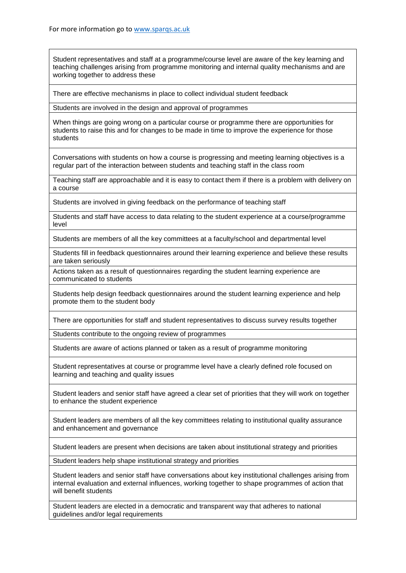Student representatives and staff at a programme/course level are aware of the key learning and teaching challenges arising from programme monitoring and internal quality mechanisms and are working together to address these

There are effective mechanisms in place to collect individual student feedback

Students are involved in the design and approval of programmes

When things are going wrong on a particular course or programme there are opportunities for students to raise this and for changes to be made in time to improve the experience for those students

Conversations with students on how a course is progressing and meeting learning objectives is a regular part of the interaction between students and teaching staff in the class room

Teaching staff are approachable and it is easy to contact them if there is a problem with delivery on a course

Students are involved in giving feedback on the performance of teaching staff

Students and staff have access to data relating to the student experience at a course/programme level

Students are members of all the key committees at a faculty/school and departmental level

Students fill in feedback questionnaires around their learning experience and believe these results are taken seriously

Actions taken as a result of questionnaires regarding the student learning experience are communicated to students

Students help design feedback questionnaires around the student learning experience and help promote them to the student body

There are opportunities for staff and student representatives to discuss survey results together

Students contribute to the ongoing review of programmes

Students are aware of actions planned or taken as a result of programme monitoring

Student representatives at course or programme level have a clearly defined role focused on learning and teaching and quality issues

Student leaders and senior staff have agreed a clear set of priorities that they will work on together to enhance the student experience

Student leaders are members of all the key committees relating to institutional quality assurance and enhancement and governance

Student leaders are present when decisions are taken about institutional strategy and priorities

Student leaders help shape institutional strategy and priorities

Student leaders and senior staff have conversations about key institutional challenges arising from internal evaluation and external influences, working together to shape programmes of action that will benefit students

Student leaders are elected in a democratic and transparent way that adheres to national guidelines and/or legal requirements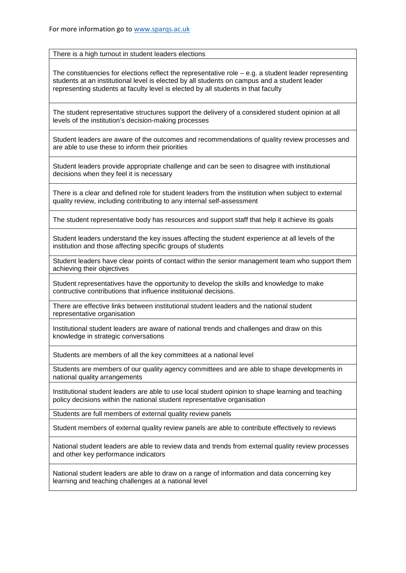There is a high turnout in student leaders elections

The constituencies for elections reflect the representative role  $-$  e.g. a student leader representing students at an institutional level is elected by all students on campus and a student leader representing students at faculty level is elected by all students in that faculty

The student representative structures support the delivery of a considered student opinion at all levels of the institution's decision-making processes

Student leaders are aware of the outcomes and recommendations of quality review processes and are able to use these to inform their priorities

Student leaders provide appropriate challenge and can be seen to disagree with institutional decisions when they feel it is necessary

There is a clear and defined role for student leaders from the institution when subject to external quality review, including contributing to any internal self-assessment

The student representative body has resources and support staff that help it achieve its goals

Student leaders understand the key issues affecting the student experience at all levels of the institution and those affecting specific groups of students

Student leaders have clear points of contact within the senior management team who support them achieving their objectives

Student representatives have the opportunity to develop the skills and knowledge to make contructive contributions that influence instituional decisions.

There are effective links between institutional student leaders and the national student representative organisation

Institutional student leaders are aware of national trends and challenges and draw on this knowledge in strategic conversations

Students are members of all the key committees at a national level

Students are members of our quality agency committees and are able to shape developments in national quality arrangements

Institutional student leaders are able to use local student opinion to shape learning and teaching policy decisions within the national student representative organisation

Students are full members of external quality review panels

Student members of external quality review panels are able to contribute effectively to reviews

National student leaders are able to review data and trends from external quality review processes and other key performance indicators

National student leaders are able to draw on a range of information and data concerning key learning and teaching challenges at a national level